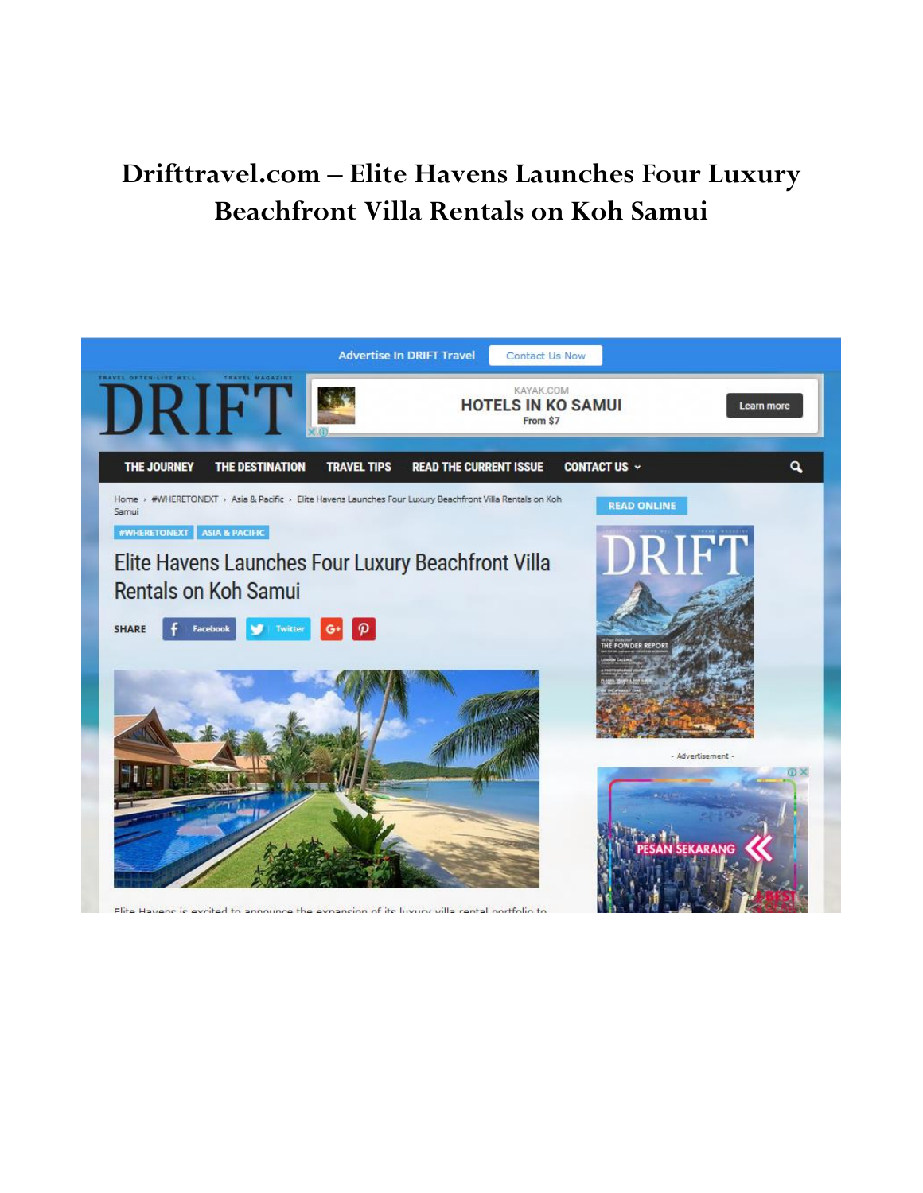## Drifttravel.com - Elite Havens Launches Four Luxury Beachfront Villa Rentals on Koh Samui



Flite Havens is evoited to announce the evoansion of its luvury villa rental nortfolio to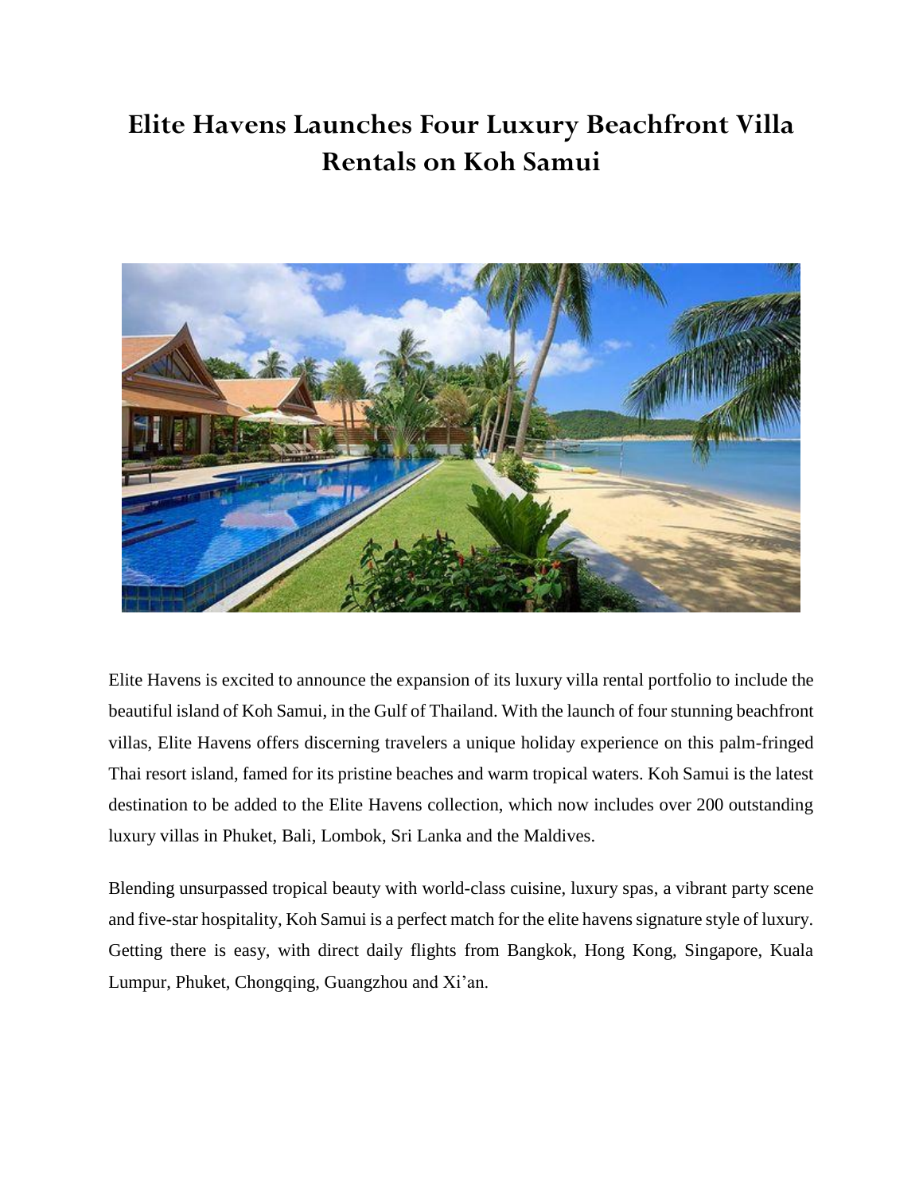## **Elite Havens Launches Four Luxury Beachfront Villa Rentals on Koh Samui**



Elite Havens is excited to announce the expansion of its luxury villa rental portfolio to include the beautiful island of Koh Samui, in the Gulf of Thailand. With the launch of four stunning beachfront villas, Elite Havens offers discerning travelers a unique holiday experience on this palm-fringed Thai resort island, famed for its pristine beaches and warm tropical waters. Koh Samui is the latest destination to be added to the Elite Havens collection, which now includes over 200 outstanding luxury villas in Phuket, Bali, Lombok, Sri Lanka and the Maldives.

Blending unsurpassed tropical beauty with world-class cuisine, luxury spas, a vibrant party scene and five-star hospitality, Koh Samui is a perfect match for the elite havens signature style of luxury. Getting there is easy, with direct daily flights from Bangkok, Hong Kong, Singapore, Kuala Lumpur, Phuket, Chongqing, Guangzhou and Xi'an.